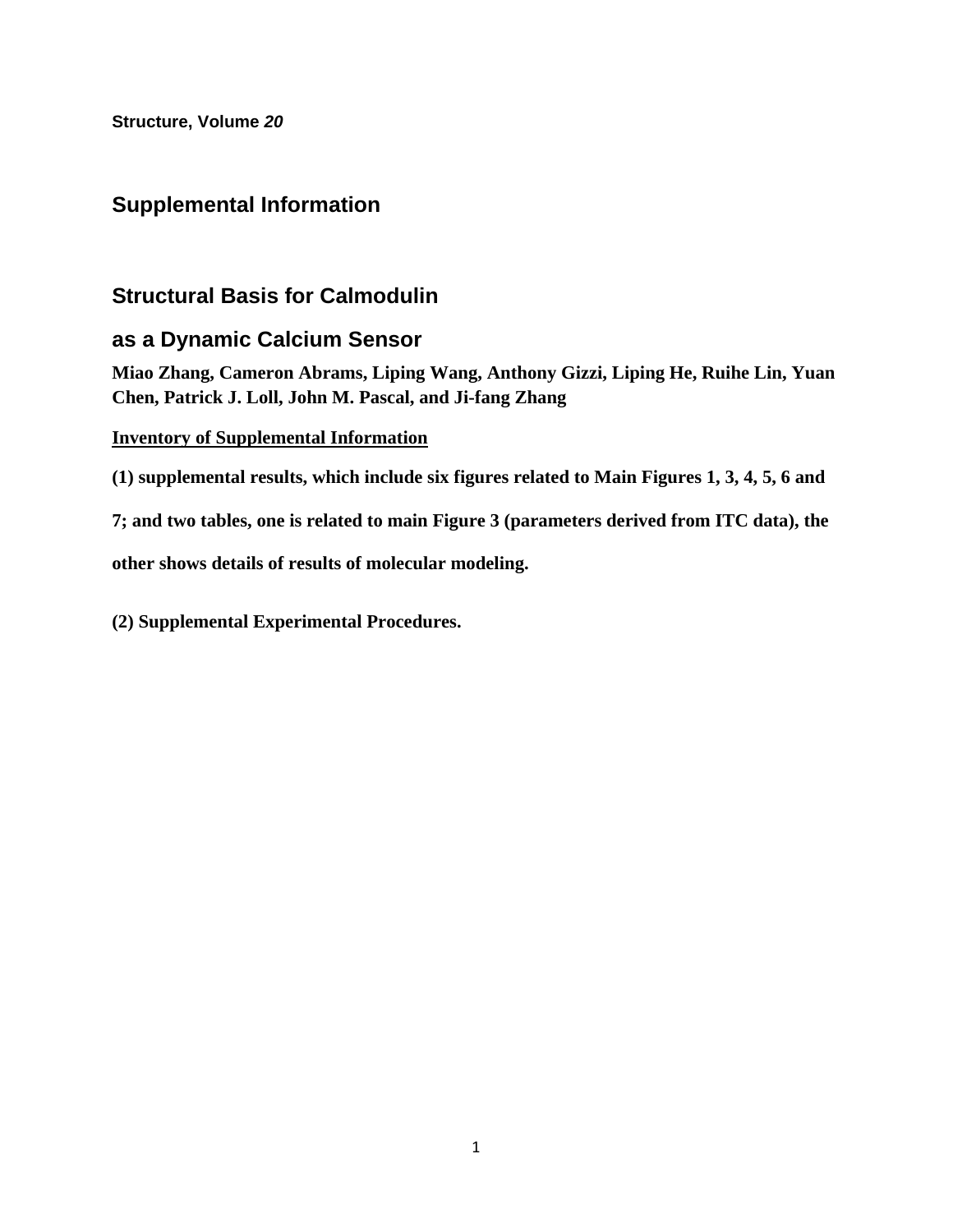**Structure, Volume** *20*

# **Supplemental Information**

# **Structural Basis for Calmodulin**

# **as a Dynamic Calcium Sensor**

**Miao Zhang, Cameron Abrams, Liping Wang, Anthony Gizzi, Liping He, Ruihe Lin, Yuan Chen, Patrick J. Loll, John M. Pascal, and Ji-fang Zhang** 

## **Inventory of Supplemental Information**

**(1) supplemental results, which include six figures related to Main Figures 1, 3, 4, 5, 6 and** 

**7; and two tables, one is related to main Figure 3 (parameters derived from ITC data), the** 

**other shows details of results of molecular modeling.** 

**(2) Supplemental Experimental Procedures.**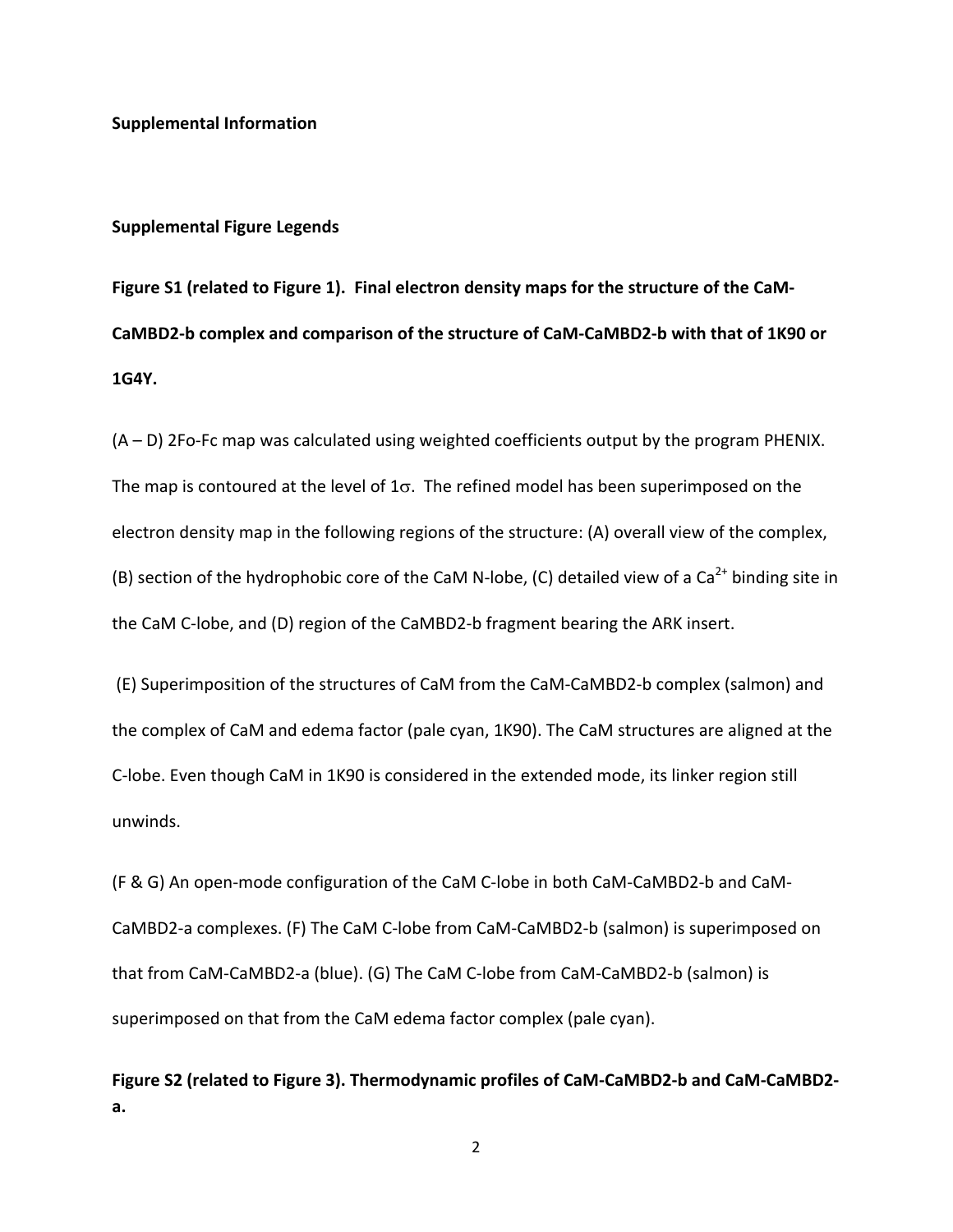#### **Supplemental Figure Legends**

**Figure S1 (related to Figure 1). Final electron density maps for the structure of the CaM‐** CaMBD2-b complex and comparison of the structure of CaM-CaMBD2-b with that of 1K90 or **1G4Y.**

(A – D) 2Fo‐Fc map was calculated using weighted coefficients output by the program PHENIX. The map is contoured at the level of  $1\sigma$ . The refined model has been superimposed on the electron density map in the following regions of the structure: (A) overall view of the complex, (B) section of the hydrophobic core of the CaM N-lobe, (C) detailed view of a  $Ca^{2+}$  binding site in the CaM C‐lobe, and (D) region of the CaMBD2‐b fragment bearing the ARK insert.

(E) Superimposition of the structures of CaM from the CaM‐CaMBD2‐b complex (salmon) and the complex of CaM and edema factor (pale cyan, 1K90). The CaM structures are aligned at the C‐lobe. Even though CaM in 1K90 is considered in the extended mode, its linker region still unwinds.

(F & G) An open‐mode configuration of the CaM C‐lobe in both CaM‐CaMBD2‐b and CaM‐ CaMBD2‐a complexes. (F) The CaM C‐lobe from CaM‐CaMBD2‐b (salmon) is superimposed on that from CaM‐CaMBD2‐a (blue). (G) The CaM C‐lobe from CaM‐CaMBD2‐b (salmon) is superimposed on that from the CaM edema factor complex (pale cyan).

**Figure S2 (related to Figure 3). Thermodynamic profiles of CaM‐CaMBD2‐b and CaM‐CaMBD2‐ a.** 

2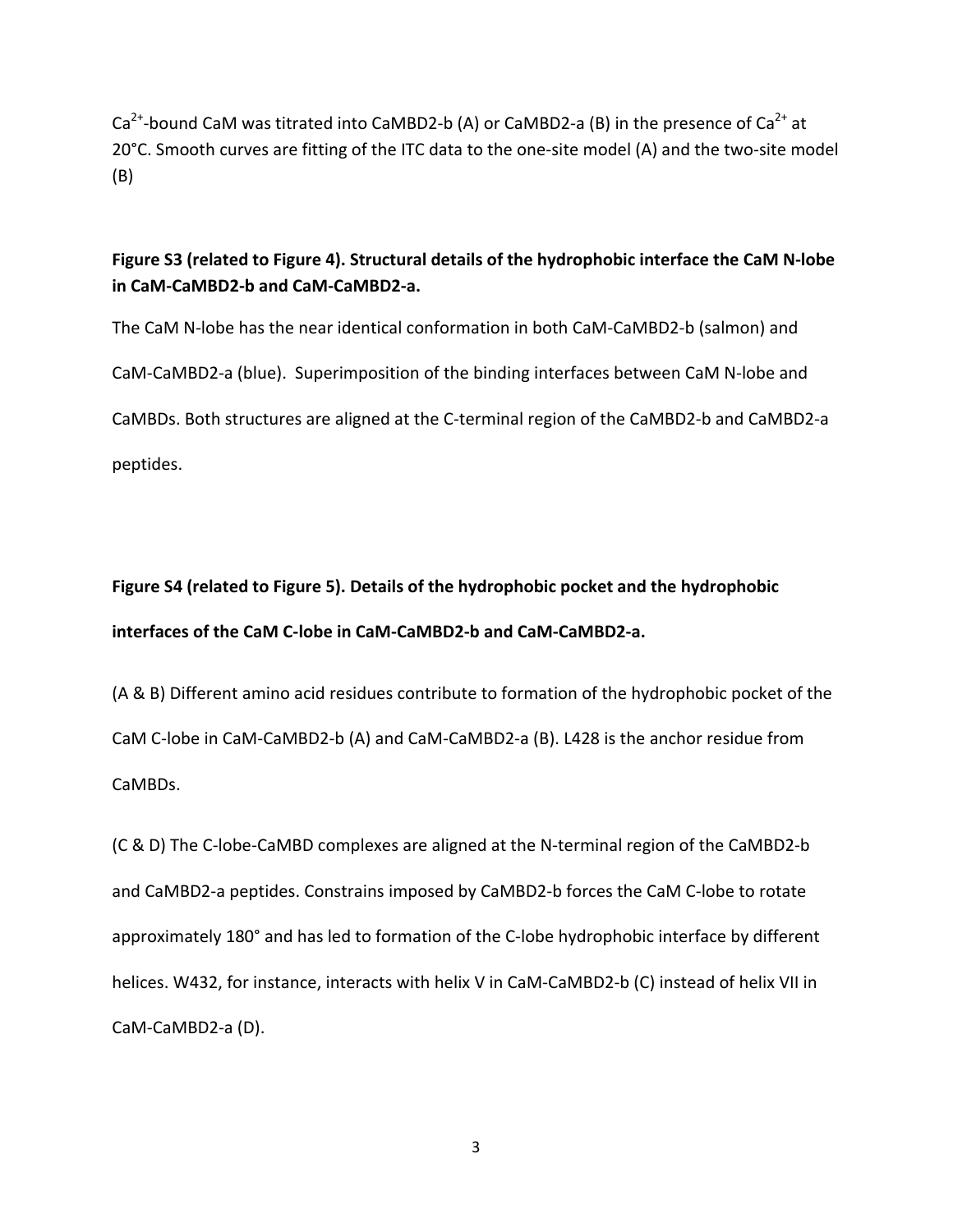$Ca^{2+}$ -bound CaM was titrated into CaMBD2-b (A) or CaMBD2-a (B) in the presence of Ca<sup>2+</sup> at 20°C. Smooth curves are fitting of the ITC data to the one‐site model (A) and the two‐site model (B)

## **Figure S3 (related to Figure 4). Structural details of the hydrophobic interface the CaM N‐lobe in CaM‐CaMBD2‐b and CaM‐CaMBD2‐a.**

The CaM N‐lobe has the near identical conformation in both CaM‐CaMBD2‐b (salmon) and CaM‐CaMBD2‐a (blue). Superimposition of the binding interfaces between CaM N‐lobe and CaMBDs. Both structures are aligned at the C‐terminal region of the CaMBD2‐b and CaMBD2‐a peptides.

# **Figure S4 (related to Figure 5). Details of the hydrophobic pocket and the hydrophobic interfaces of the CaM C‐lobe in CaM‐CaMBD2‐b and CaM‐CaMBD2‐a.**

(A & B) Different amino acid residues contribute to formation of the hydrophobic pocket of the CaM C‐lobe in CaM‐CaMBD2‐b (A) and CaM‐CaMBD2‐a (B). L428 is the anchor residue from CaMBDs.

(C & D) The C‐lobe‐CaMBD complexes are aligned at the N‐terminal region of the CaMBD2‐b and CaMBD2‐a peptides. Constrains imposed by CaMBD2‐b forces the CaM C‐lobe to rotate approximately 180° and has led to formation of the C‐lobe hydrophobic interface by different helices. W432, for instance, interacts with helix V in CaM-CaMBD2-b (C) instead of helix VII in CaM‐CaMBD2‐a (D).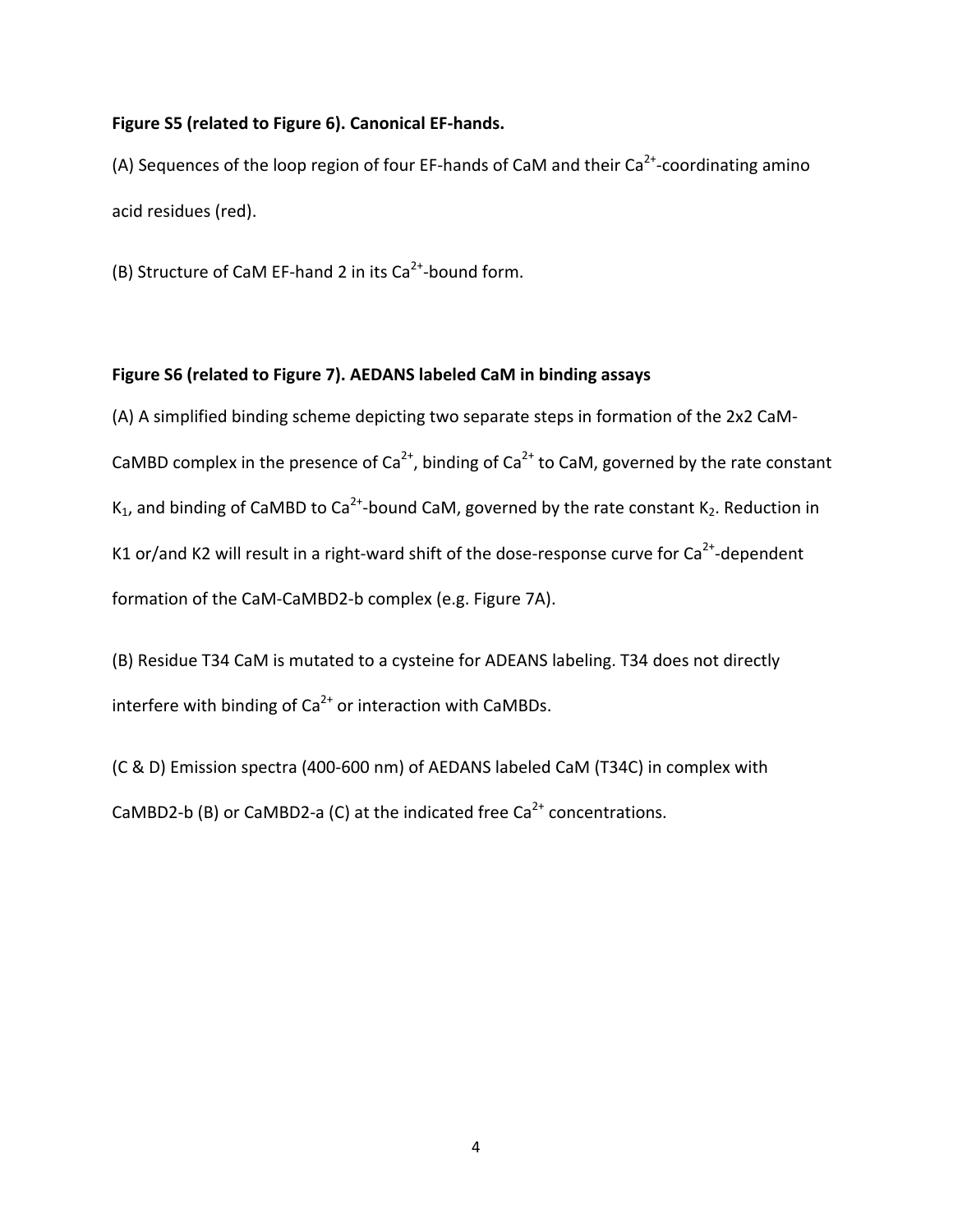## **Figure S5 (related to Figure 6). Canonical EF‐hands.**

(A) Sequences of the loop region of four EF-hands of CaM and their  $Ca<sup>2+</sup>$ -coordinating amino acid residues (red).

(B) Structure of CaM EF-hand 2 in its  $Ca^{2+}$ -bound form.

## **Figure S6 (related to Figure 7). AEDANS labeled CaM in binding assays**

(A) A simplified binding scheme depicting two separate steps in formation of the 2x2 CaM‐ CaMBD complex in the presence of Ca<sup>2+</sup>, binding of Ca<sup>2+</sup> to CaM, governed by the rate constant K<sub>1</sub>, and binding of CaMBD to Ca<sup>2+</sup>-bound CaM, governed by the rate constant K<sub>2</sub>. Reduction in K1 or/and K2 will result in a right-ward shift of the dose-response curve for  $Ca^{2+}$ -dependent formation of the CaM-CaMBD2-b complex (e.g. Figure 7A).

(B) Residue T34 CaM is mutated to a cysteine for ADEANS labeling. T34 does not directly interfere with binding of  $Ca<sup>2+</sup>$  or interaction with CaMBDs.

(C & D) Emission spectra (400‐600 nm) of AEDANS labeled CaM (T34C) in complex with CaMBD2-b (B) or CaMBD2-a (C) at the indicated free  $Ca<sup>2+</sup>$  concentrations.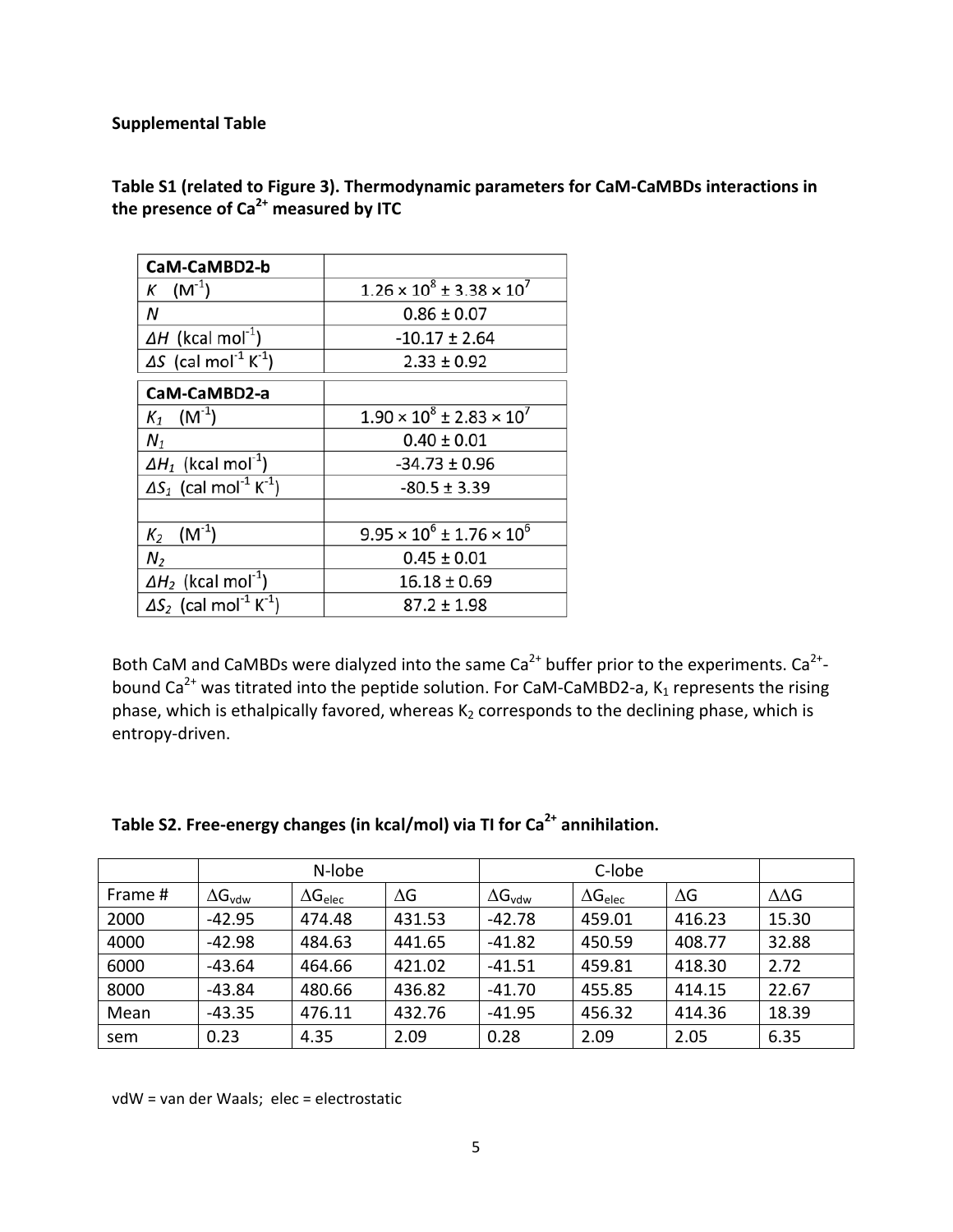### **Supplemental Table**

| CaM-CaMBD2-b                                          |                                         |  |
|-------------------------------------------------------|-----------------------------------------|--|
| $K$ (M <sup>-1</sup> )                                | $1.26 \times 10^8 \pm 3.38 \times 10^7$ |  |
| Ν                                                     | $0.86 \pm 0.07$                         |  |
| $\Delta H$ (kcal mol <sup>-1</sup> )                  | $-10.17 \pm 2.64$                       |  |
| $\Delta S$ (cal mol <sup>-1</sup> K <sup>-1</sup> )   | $2.33 \pm 0.92$                         |  |
| CaM-CaMBD2-a                                          |                                         |  |
| $K_1$ (M <sup>-1</sup> )                              | $1.90 \times 10^8 \pm 2.83 \times 10^7$ |  |
| $N_1$                                                 | $0.40 \pm 0.01$                         |  |
| $\Delta H_1$ (kcal mol <sup>-1</sup> )                | $-34.73 \pm 0.96$                       |  |
| $\Delta S_1$ (cal mol <sup>-1</sup> K <sup>-1</sup> ) | $-80.5 \pm 3.39$                        |  |
| $K_2$ (M <sup>-1</sup> )                              | $9.95 \times 10^6 \pm 1.76 \times 10^6$ |  |
| N <sub>2</sub>                                        | $0.45 \pm 0.01$                         |  |
| $\Delta H_2$ (kcal mol <sup>-1</sup> )                | $16.18 \pm 0.69$                        |  |
| $\Delta S_2$ (cal mol <sup>-1</sup> K <sup>-1</sup> ) | 87.2 ± 1.98                             |  |

**Table S1 (related to Figure 3). Thermodynamic parameters for CaM‐CaMBDs interactions in the presence of Ca2+ measured by ITC**

Both CaM and CaMBDs were dialyzed into the same Ca<sup>2+</sup> buffer prior to the experiments. Ca<sup>2+</sup>bound Ca<sup>2+</sup> was titrated into the peptide solution. For CaM-CaMBD2-a, K<sub>1</sub> represents the rising phase, which is ethalpically favored, whereas  $K_2$  corresponds to the declining phase, which is entropy‐driven.

|         | N-lobe                  |                   | C-lobe     |                         |                   |        |                  |
|---------|-------------------------|-------------------|------------|-------------------------|-------------------|--------|------------------|
| Frame # | $\Delta G_{\text{vdw}}$ | $\Delta G_{elec}$ | $\Delta G$ | $\Delta G_{\text{vdw}}$ | $\Delta G_{elec}$ | ΔG     | $\Delta\Delta G$ |
| 2000    | $-42.95$                | 474.48            | 431.53     | $-42.78$                | 459.01            | 416.23 | 15.30            |
| 4000    | $-42.98$                | 484.63            | 441.65     | $-41.82$                | 450.59            | 408.77 | 32.88            |
| 6000    | $-43.64$                | 464.66            | 421.02     | -41.51                  | 459.81            | 418.30 | 2.72             |
| 8000    | $-43.84$                | 480.66            | 436.82     | $-41.70$                | 455.85            | 414.15 | 22.67            |
| Mean    | $-43.35$                | 476.11            | 432.76     | $-41.95$                | 456.32            | 414.36 | 18.39            |
| sem     | 0.23                    | 4.35              | 2.09       | 0.28                    | 2.09              | 2.05   | 6.35             |

# **Table S2. Free‐energy changes (in kcal/mol) via TI for Ca2+ annihilation.**

vdW = van der Waals; elec = electrostatic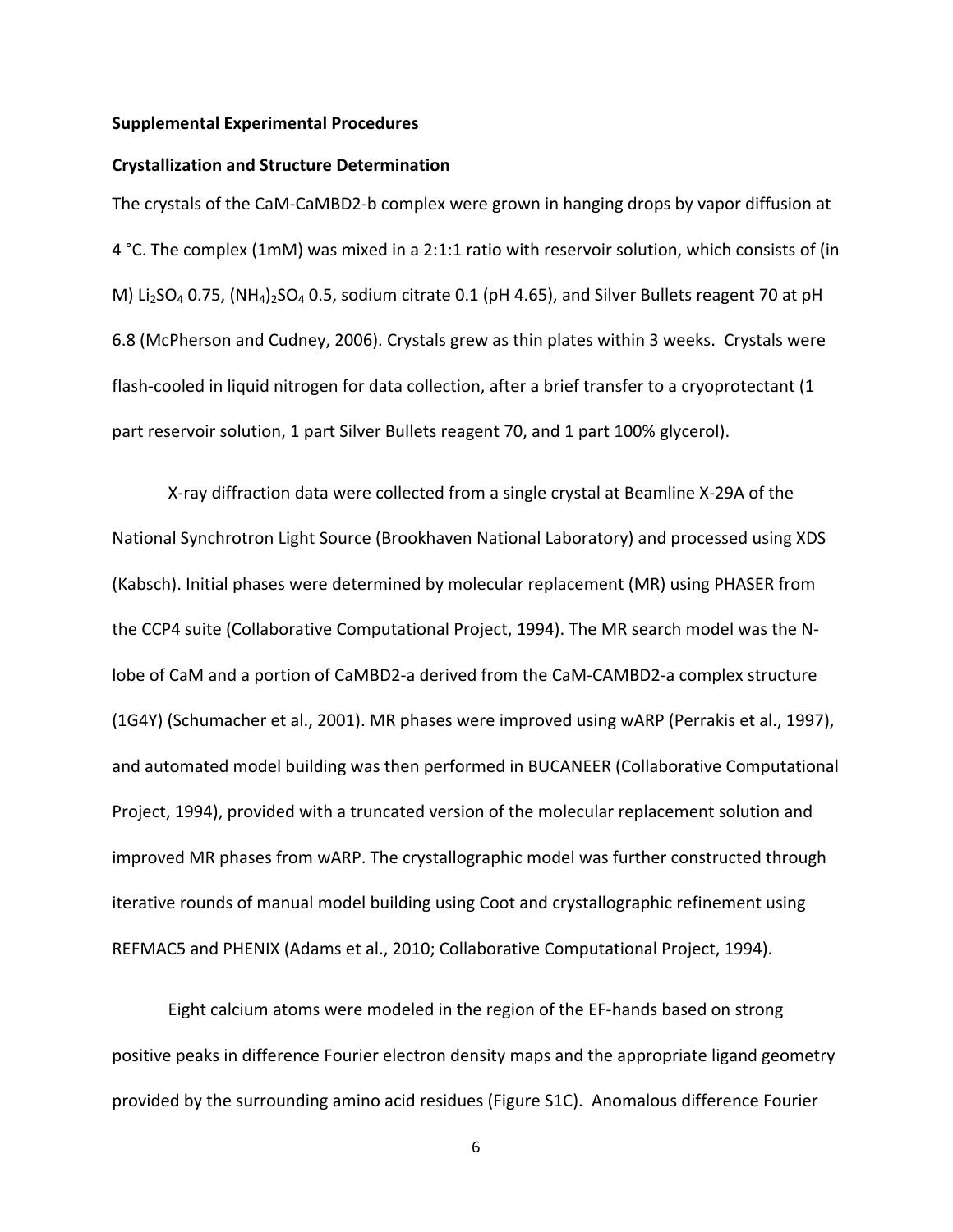#### **Supplemental Experimental Procedures**

#### **Crystallization and Structure Determination**

The crystals of the CaM-CaMBD2-b complex were grown in hanging drops by vapor diffusion at 4 °C. The complex (1mM) was mixed in a 2:1:1 ratio with reservoir solution, which consists of (in M) Li<sub>2</sub>SO<sub>4</sub> 0.75, (NH<sub>4</sub>)<sub>2</sub>SO<sub>4</sub> 0.5, sodium citrate 0.1 (pH 4.65), and Silver Bullets reagent 70 at pH 6.8 (McPherson and Cudney, 2006). Crystals grew as thin plates within 3 weeks. Crystals were flash-cooled in liquid nitrogen for data collection, after a brief transfer to a cryoprotectant (1 part reservoir solution, 1 part Silver Bullets reagent 70, and 1 part 100% glycerol).

X‐ray diffraction data were collected from a single crystal at Beamline X‐29A of the National Synchrotron Light Source (Brookhaven National Laboratory) and processed using XDS (Kabsch). Initial phases were determined by molecular replacement (MR) using PHASER from the CCP4 suite (Collaborative Computational Project, 1994). The MR search model was the N‐ lobe of CaM and a portion of CaMBD2‐a derived from the CaM‐CAMBD2‐a complex structure (1G4Y) (Schumacher et al., 2001). MR phases were improved using wARP (Perrakis et al., 1997), and automated model building was then performed in BUCANEER (Collaborative Computational Project, 1994), provided with a truncated version of the molecular replacement solution and improved MR phases from wARP. The crystallographic model was further constructed through iterative rounds of manual model building using Coot and crystallographic refinement using REFMAC5 and PHENIX (Adams et al., 2010; Collaborative Computational Project, 1994).

Eight calcium atoms were modeled in the region of the EF‐hands based on strong positive peaks in difference Fourier electron density maps and the appropriate ligand geometry provided by the surrounding amino acid residues (Figure S1C). Anomalous difference Fourier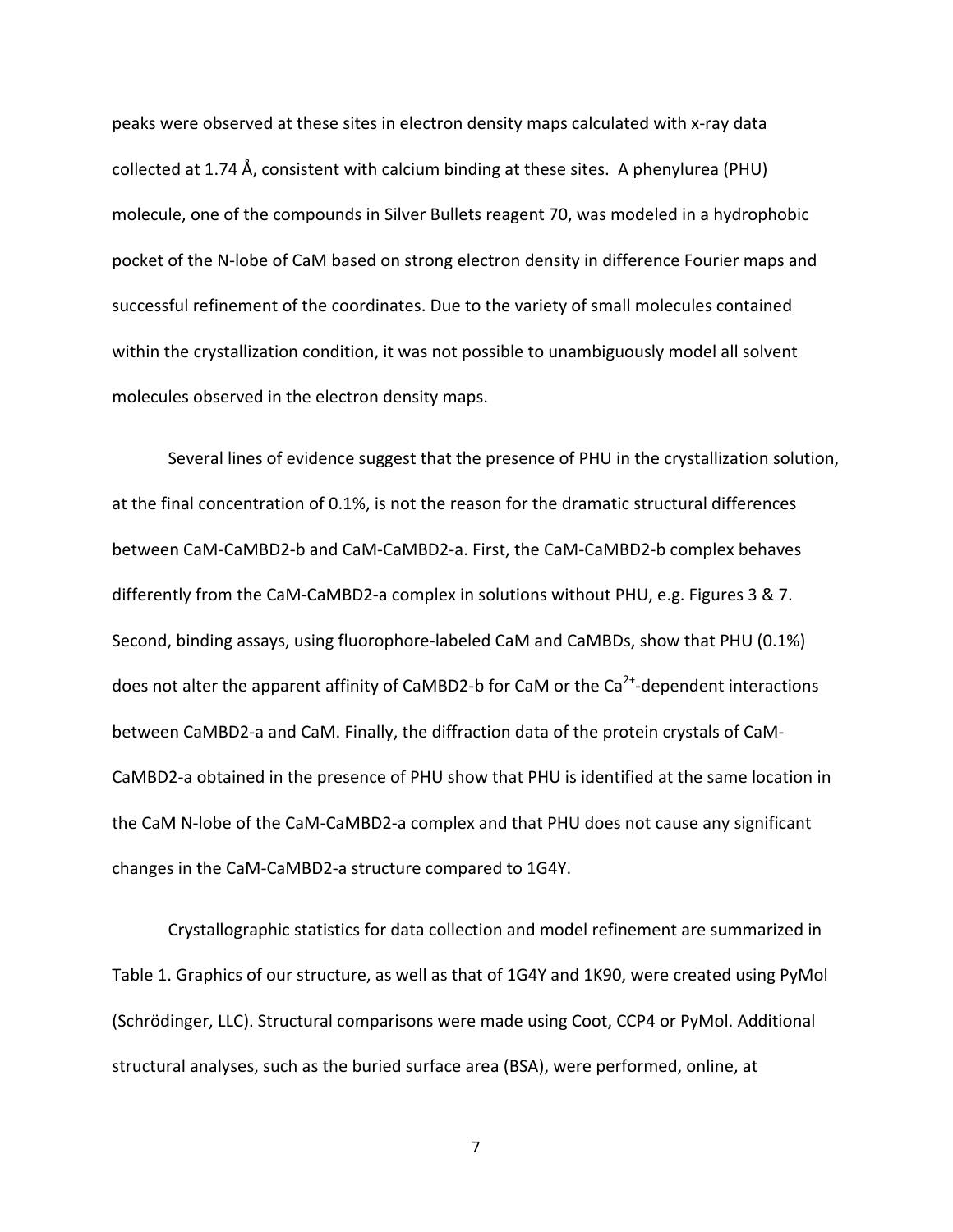peaks were observed at these sites in electron density maps calculated with x‐ray data collected at 1.74 Å, consistent with calcium binding at these sites. A phenylurea (PHU) molecule, one of the compounds in Silver Bullets reagent 70, was modeled in a hydrophobic pocket of the N‐lobe of CaM based on strong electron density in difference Fourier maps and successful refinement of the coordinates. Due to the variety of small molecules contained within the crystallization condition, it was not possible to unambiguously model all solvent molecules observed in the electron density maps.

Several lines of evidence suggest that the presence of PHU in the crystallization solution, at the final concentration of 0.1%, is not the reason for the dramatic structural differences between CaM‐CaMBD2‐b and CaM‐CaMBD2‐a. First, the CaM‐CaMBD2‐b complex behaves differently from the CaM-CaMBD2-a complex in solutions without PHU, e.g. Figures 3 & 7. Second, binding assays, using fluorophore‐labeled CaM and CaMBDs, show that PHU (0.1%) does not alter the apparent affinity of CaMBD2-b for CaM or the  $Ca^{2+}$ -dependent interactions between CaMBD2‐a and CaM. Finally, the diffraction data of the protein crystals of CaM‐ CaMBD2‐a obtained in the presence of PHU show that PHU is identified at the same location in the CaM N-lobe of the CaM-CaMBD2-a complex and that PHU does not cause any significant changes in the CaM‐CaMBD2‐a structure compared to 1G4Y.

Crystallographic statistics for data collection and model refinement are summarized in Table 1. Graphics of our structure, as well as that of 1G4Y and 1K90, were created using PyMol (Schrödinger, LLC). Structural comparisons were made using Coot, CCP4 or PyMol. Additional structural analyses, such as the buried surface area (BSA), were performed, online, at

7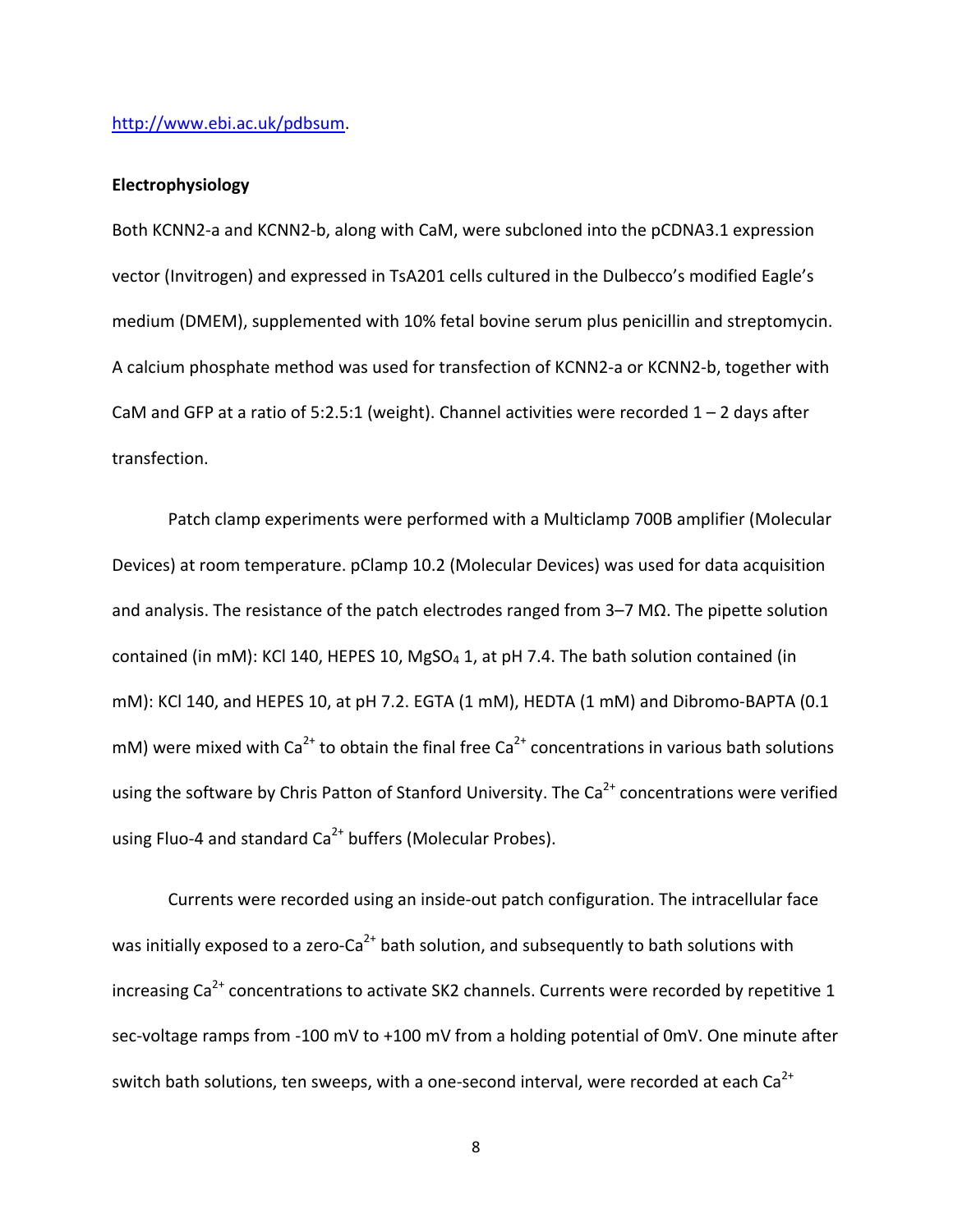#### http://www.ebi.ac.uk/pdbsum.

#### **Electrophysiology**

Both KCNN2‐a and KCNN2‐b, along with CaM, were subcloned into the pCDNA3.1 expression vector (Invitrogen) and expressed in TsA201 cells cultured in the Dulbecco's modified Eagle's medium (DMEM), supplemented with 10% fetal bovine serum plus penicillin and streptomycin. A calcium phosphate method was used for transfection of KCNN2‐a or KCNN2‐b, together with CaM and GFP at a ratio of 5:2.5:1 (weight). Channel activities were recorded  $1 - 2$  days after transfection.

Patch clamp experiments were performed with a Multiclamp 700B amplifier (Molecular Devices) at room temperature. pClamp 10.2 (Molecular Devices) was used for data acquisition and analysis. The resistance of the patch electrodes ranged from 3–7 MΩ. The pipette solution contained (in mM): KCl 140, HEPES 10, MgSO<sub>4</sub> 1, at pH 7.4. The bath solution contained (in mM): KCl 140, and HEPES 10, at pH 7.2. EGTA (1 mM), HEDTA (1 mM) and Dibromo‐BAPTA (0.1 mM) were mixed with Ca<sup>2+</sup> to obtain the final free Ca<sup>2+</sup> concentrations in various bath solutions using the software by Chris Patton of Stanford University. The  $Ca<sup>2+</sup>$  concentrations were verified using Fluo-4 and standard  $Ca<sup>2+</sup>$  buffers (Molecular Probes).

Currents were recorded using an inside‐out patch configuration. The intracellular face was initially exposed to a zero-Ca<sup>2+</sup> bath solution, and subsequently to bath solutions with increasing  $\text{Ca}^{2+}$  concentrations to activate SK2 channels. Currents were recorded by repetitive 1 sec-voltage ramps from -100 mV to +100 mV from a holding potential of 0mV. One minute after switch bath solutions, ten sweeps, with a one-second interval, were recorded at each  $Ca^{2+}$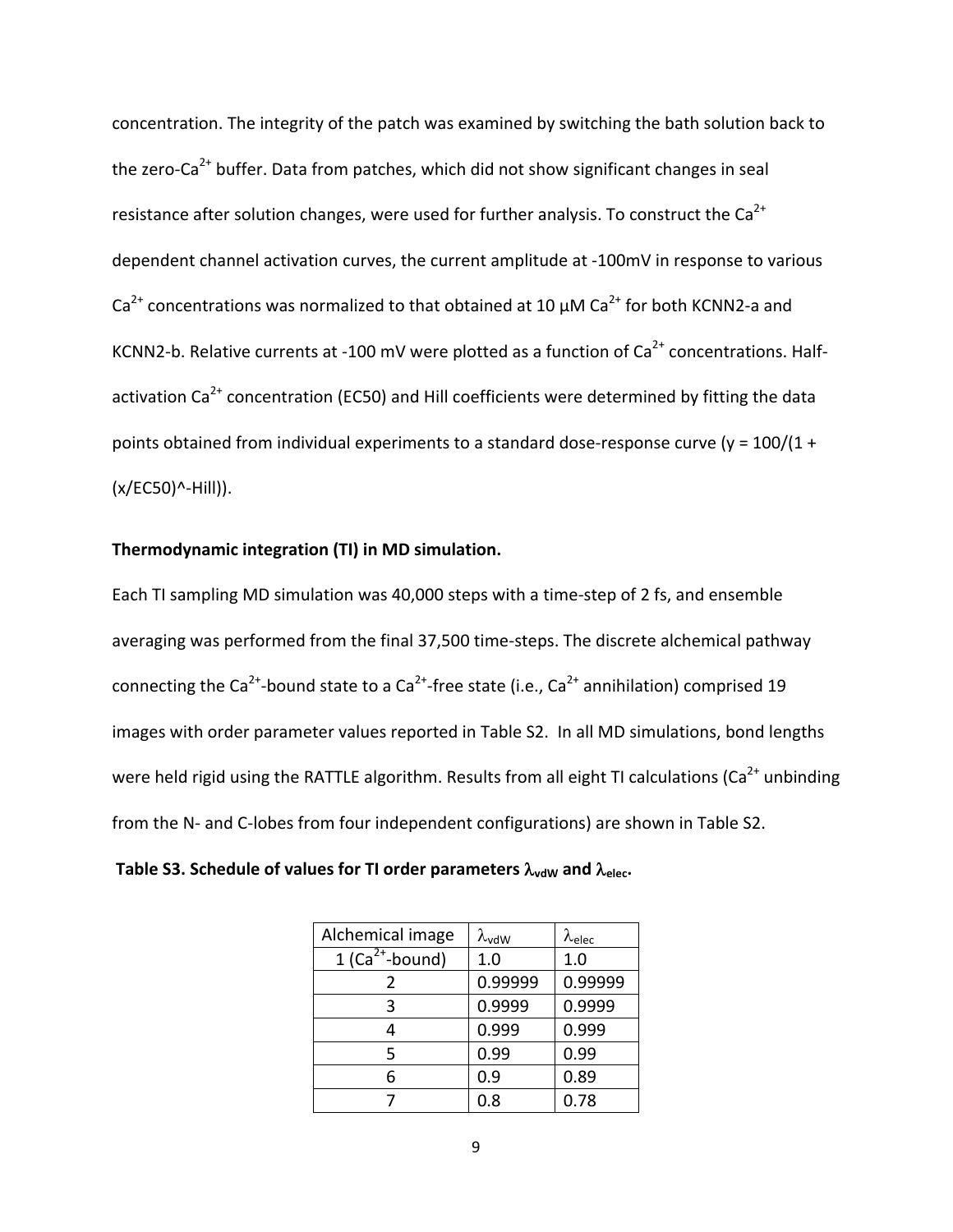concentration. The integrity of the patch was examined by switching the bath solution back to the zero-Ca<sup>2+</sup> buffer. Data from patches, which did not show significant changes in seal resistance after solution changes, were used for further analysis. To construct the  $Ca^{2+}$ dependent channel activation curves, the current amplitude at ‐100mV in response to various  $Ca<sup>2+</sup>$  concentrations was normalized to that obtained at 10  $\mu$ M Ca<sup>2+</sup> for both KCNN2-a and KCNN2-b. Relative currents at -100 mV were plotted as a function of  $Ca<sup>2+</sup>$  concentrations. Halfactivation  $Ca^{2+}$  concentration (EC50) and Hill coefficients were determined by fitting the data points obtained from individual experiments to a standard dose-response curve (y =  $100/(1 +$ (x/EC50)^‐Hill)).

#### **Thermodynamic integration (TI) in MD simulation.**

Each TI sampling MD simulation was 40,000 steps with a time‐step of 2 fs, and ensemble averaging was performed from the final 37,500 time‐steps. The discrete alchemical pathway connecting the Ca<sup>2+</sup>-bound state to a Ca<sup>2+</sup>-free state (i.e., Ca<sup>2+</sup> annihilation) comprised 19 images with order parameter values reported in Table S2. In all MD simulations, bond lengths were held rigid using the RATTLE algorithm. Results from all eight TI calculations ( $Ca<sup>2+</sup>$  unbinding from the N- and C-lobes from four independent configurations) are shown in Table S2.

**Table S3.** Schedule of values for TI order parameters  $\lambda_{\text{vdW}}$  and  $\lambda_{\text{elec}}$ .

| Alchemical image   | $\lambda_{vdW}$ | $\lambda_{\text{elec}}$ |
|--------------------|-----------------|-------------------------|
| 1 ( $Ca2+$ -bound) | 1.0             | 1.0                     |
| 2                  | 0.99999         | 0.99999                 |
| 3                  | 0.9999          | 0.9999                  |
|                    | 0.999           | 0.999                   |
| 5                  | 0.99            | 0.99                    |
| 6                  | 0.9             | 0.89                    |
|                    | 0.8             | 0.78                    |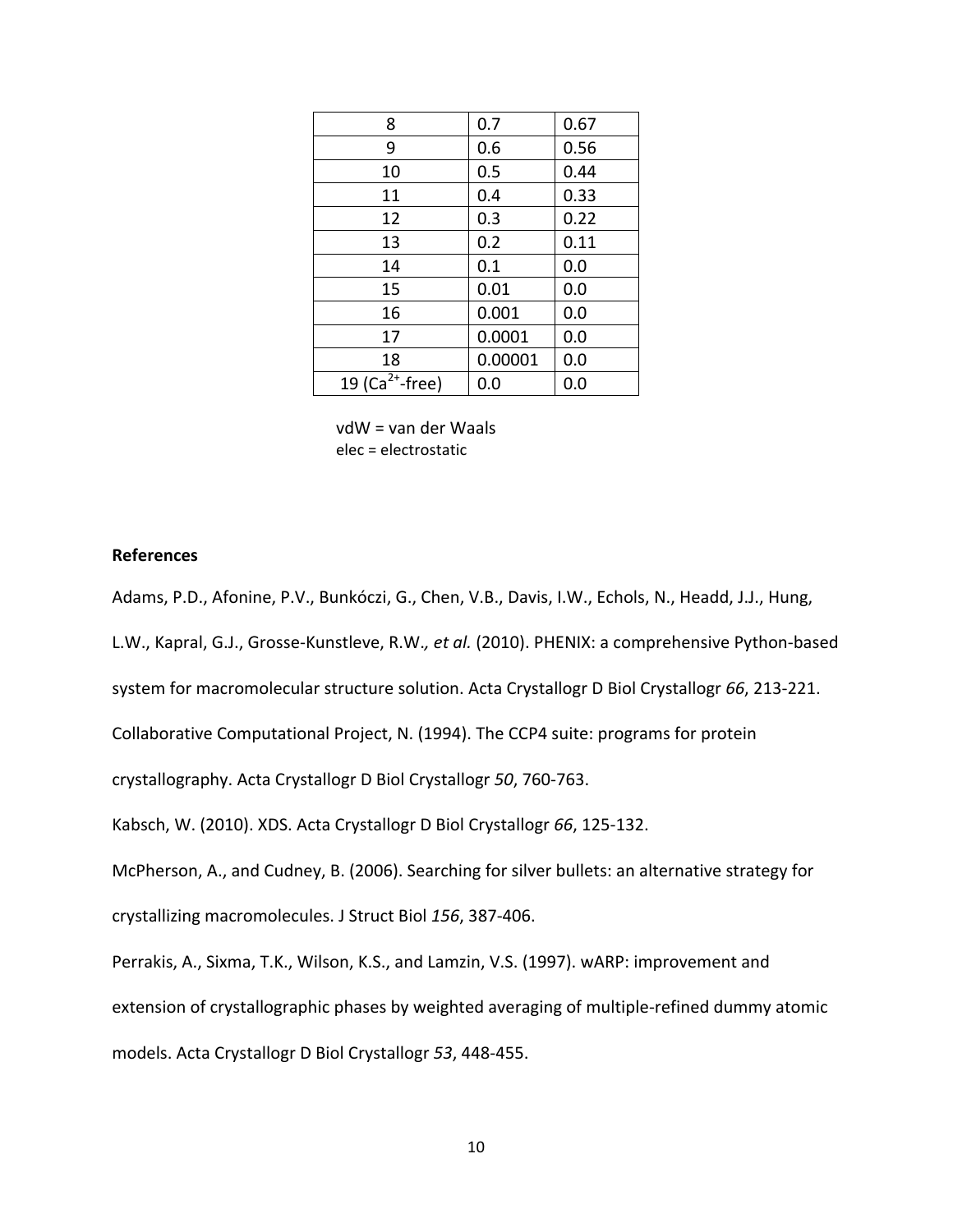| 8                           | 0.7     | 0.67 |
|-----------------------------|---------|------|
| 9                           | 0.6     | 0.56 |
| 10                          | 0.5     | 0.44 |
| 11                          | 0.4     | 0.33 |
| 12                          | 0.3     | 0.22 |
| 13                          | 0.2     | 0.11 |
| 14                          | 0.1     | 0.0  |
| 15                          | 0.01    | 0.0  |
| 16                          | 0.001   | 0.0  |
| 17                          | 0.0001  | 0.0  |
| 18                          | 0.00001 | 0.0  |
| 19 (Ca <sup>2+</sup> -free) | 0.0     | 0.0  |

vdW = van der Waals elec = electrostatic

#### **References**

Adams, P.D., Afonine, P.V., Bunkóczi, G., Chen, V.B., Davis, I.W., Echols, N., Headd, J.J., Hung,

L.W., Kapral, G.J., Grosse‐Kunstleve, R.W.*, et al.* (2010). PHENIX: a comprehensive Python‐based

system for macromolecular structure solution. Acta Crystallogr D Biol Crystallogr *66*, 213‐221.

Collaborative Computational Project, N. (1994). The CCP4 suite: programs for protein

crystallography. Acta Crystallogr D Biol Crystallogr *50*, 760‐763.

Kabsch, W. (2010). XDS. Acta Crystallogr D Biol Crystallogr *66*, 125‐132.

McPherson, A., and Cudney, B. (2006). Searching for silver bullets: an alternative strategy for

crystallizing macromolecules. J Struct Biol *156*, 387‐406.

Perrakis, A., Sixma, T.K., Wilson, K.S., and Lamzin, V.S. (1997). wARP: improvement and extension of crystallographic phases by weighted averaging of multiple‐refined dummy atomic models. Acta Crystallogr D Biol Crystallogr *53*, 448‐455.